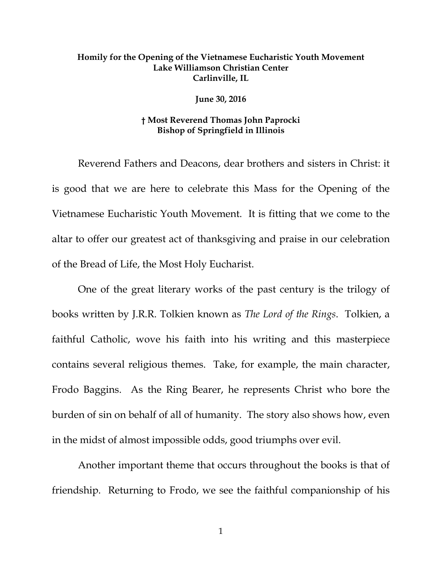## **Homily for the Opening of the Vietnamese Eucharistic Youth Movement Lake Williamson Christian Center Carlinville, IL**

**June 30, 2016**

## **† Most Reverend Thomas John Paprocki Bishop of Springfield in Illinois**

Reverend Fathers and Deacons, dear brothers and sisters in Christ: it is good that we are here to celebrate this Mass for the Opening of the Vietnamese Eucharistic Youth Movement. It is fitting that we come to the altar to offer our greatest act of thanksgiving and praise in our celebration of the Bread of Life, the Most Holy Eucharist.

One of the great literary works of the past century is the trilogy of books written by J.R.R. Tolkien known as *The Lord of the Rings*. Tolkien, a faithful Catholic, wove his faith into his writing and this masterpiece contains several religious themes. Take, for example, the main character, Frodo Baggins. As the Ring Bearer, he represents Christ who bore the burden of sin on behalf of all of humanity. The story also shows how, even in the midst of almost impossible odds, good triumphs over evil.

Another important theme that occurs throughout the books is that of friendship. Returning to Frodo, we see the faithful companionship of his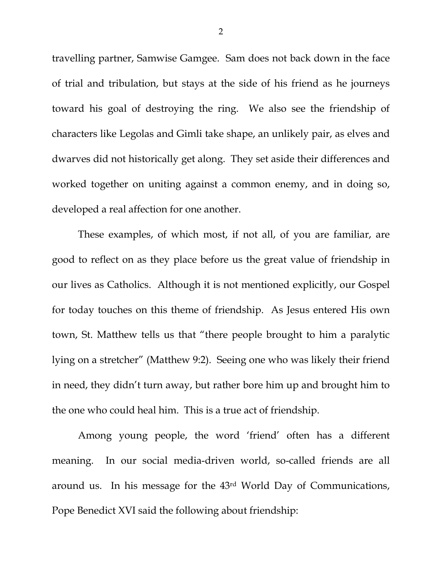travelling partner, Samwise Gamgee. Sam does not back down in the face of trial and tribulation, but stays at the side of his friend as he journeys toward his goal of destroying the ring. We also see the friendship of characters like Legolas and Gimli take shape, an unlikely pair, as elves and dwarves did not historically get along. They set aside their differences and worked together on uniting against a common enemy, and in doing so, developed a real affection for one another.

These examples, of which most, if not all, of you are familiar, are good to reflect on as they place before us the great value of friendship in our lives as Catholics. Although it is not mentioned explicitly, our Gospel for today touches on this theme of friendship. As Jesus entered His own town, St. Matthew tells us that "there people brought to him a paralytic lying on a stretcher" (Matthew 9:2). Seeing one who was likely their friend in need, they didn't turn away, but rather bore him up and brought him to the one who could heal him. This is a true act of friendship.

Among young people, the word 'friend' often has a different meaning. In our social media-driven world, so-called friends are all around us. In his message for the 43rd World Day of Communications, Pope Benedict XVI said the following about friendship:

2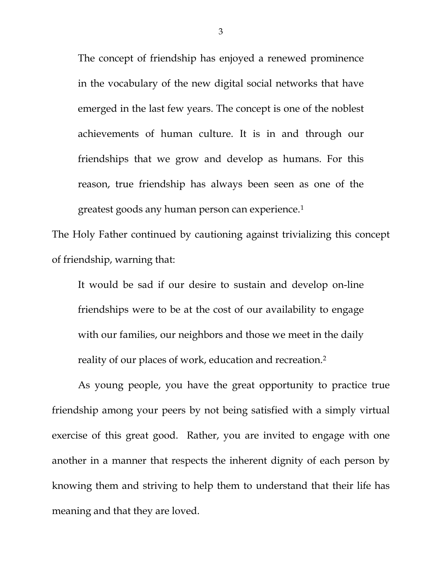The concept of friendship has enjoyed a renewed prominence in the vocabulary of the new digital social networks that have emerged in the last few years. The concept is one of the noblest achievements of human culture. It is in and through our friendships that we grow and develop as humans. For this reason, true friendship has always been seen as one of the greatest goods any human person can experience.[1](#page-2-0)

The Holy Father continued by cautioning against trivializing this concept of friendship, warning that:

It would be sad if our desire to sustain and develop on-line friendships were to be at the cost of our availability to engage with our families, our neighbors and those we meet in the daily reality of our places of work, education and recreation.[2](#page-2-1)

<span id="page-2-2"></span><span id="page-2-1"></span><span id="page-2-0"></span>As young people, you have the great opportunity to practice true friendship among your peers by not being satisfied with a simply virtual exercise of this great good. Rather, you are invited to engage with one another in a manner that respects the inherent dignity of each person by knowing them and striving to help them to understand that their life has meaning and that they are loved.

3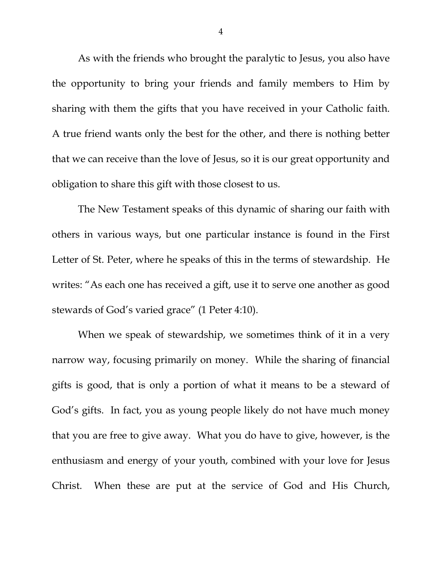As with the friends who brought the paralytic to Jesus, you also have the opportunity to bring your friends and family members to Him by sharing with them the gifts that you have received in your Catholic faith. A true friend wants only the best for the other, and there is nothing better that we can receive than the love of Jesus, so it is our great opportunity and obligation to share this gift with those closest to us.

The New Testament speaks of this dynamic of sharing our faith with others in various ways, but one particular instance is found in the First Letter of St. Peter, where he speaks of this in the terms of stewardship. He writes: "As each one has received a gift, use it to serve one another as good stewards of God's varied grace" (1 Peter 4:10).

When we speak of stewardship, we sometimes think of it in a very narrow way, focusing primarily on money. While the sharing of financial gifts is good, that is only a portion of what it means to be a steward of God's gifts. In fact, you as young people likely do not have much money that you are free to give away. What you do have to give, however, is the enthusiasm and energy of your youth, combined with your love for Jesus Christ. When these are put at the service of God and His Church,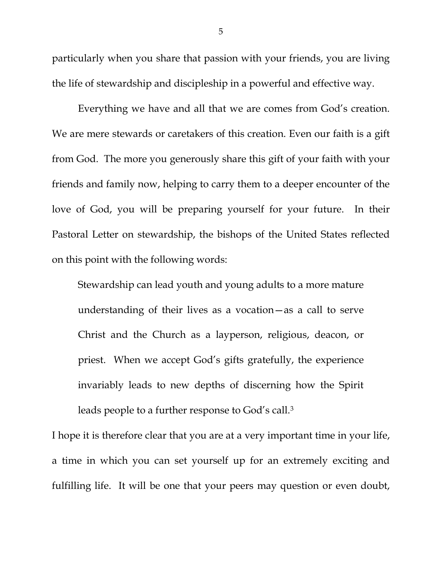particularly when you share that passion with your friends, you are living the life of stewardship and discipleship in a powerful and effective way.

Everything we have and all that we are comes from God's creation. We are mere stewards or caretakers of this creation. Even our faith is a gift from God. The more you generously share this gift of your faith with your friends and family now, helping to carry them to a deeper encounter of the love of God, you will be preparing yourself for your future. In their Pastoral Letter on stewardship, the bishops of the United States reflected on this point with the following words:

Stewardship can lead youth and young adults to a more mature understanding of their lives as a vocation—as a call to serve Christ and the Church as a layperson, religious, deacon, or priest. When we accept God's gifts gratefully, the experience invariably leads to new depths of discerning how the Spirit leads people to a further response to God's call[.3](#page-2-2)

I hope it is therefore clear that you are at a very important time in your life, a time in which you can set yourself up for an extremely exciting and fulfilling life. It will be one that your peers may question or even doubt,

5